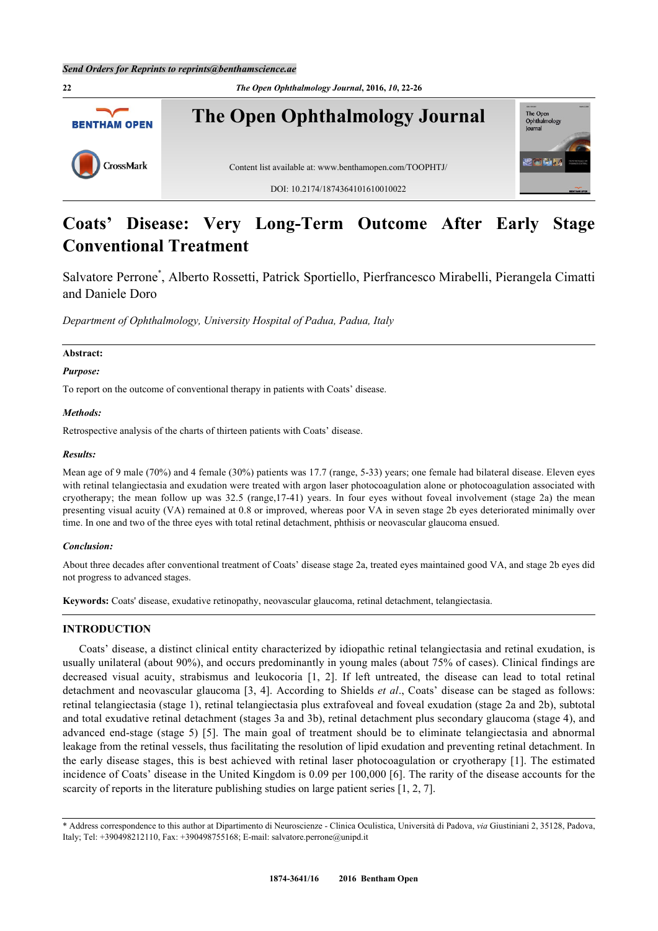

# **Coats' Disease: Very Long-Term Outcome After Early Stage Conventional Treatment**

Salvatore Perrone<sup>[\\*](#page-0-0)</sup>, Alberto Rossetti, Patrick Sportiello, Pierfrancesco Mirabelli, Pierangela Cimatti and Daniele Doro

*Department of Ophthalmology, University Hospital of Padua, Padua, Italy*

# **Abstract:**

*Purpose:*

To report on the outcome of conventional therapy in patients with Coats' disease.

#### *Methods:*

Retrospective analysis of the charts of thirteen patients with Coats' disease.

#### *Results:*

Mean age of 9 male (70%) and 4 female (30%) patients was 17.7 (range, 5-33) years; one female had bilateral disease. Eleven eyes with retinal telangiectasia and exudation were treated with argon laser photocoagulation alone or photocoagulation associated with cryotherapy; the mean follow up was 32.5 (range,17-41) years. In four eyes without foveal involvement (stage 2a) the mean presenting visual acuity (VA) remained at 0.8 or improved, whereas poor VA in seven stage 2b eyes deteriorated minimally over time. In one and two of the three eyes with total retinal detachment, phthisis or neovascular glaucoma ensued.

#### *Conclusion:*

About three decades after conventional treatment of Coats' disease stage 2a, treated eyes maintained good VA, and stage 2b eyes did not progress to advanced stages.

**Keywords:** Coats' disease, exudative retinopathy, neovascular glaucoma, retinal detachment, telangiectasia.

### **INTRODUCTION**

Coats' disease, a distinct clinical entity characterized by idiopathic retinal telangiectasia and retinal exudation, is usually unilateral (about 90%), and occurs predominantly in young males (about 75% of cases). Clinical findings are decreased visual acuity, strabismus and leukocoria[[1](#page-3-0), [2](#page-3-1)]. If left untreated, the disease can lead to total retinal detachment and neovascular glaucoma [\[3,](#page-3-2) [4\]](#page-3-3). According to Shields *et al*., Coats' disease can be staged as follows: retinal telangiectasia (stage 1), retinal telangiectasia plus extrafoveal and foveal exudation (stage 2a and 2b), subtotal and total exudative retinal detachment (stages 3a and 3b), retinal detachment plus secondary glaucoma (stage 4), and advanced end-stage (stage 5)[[5\]](#page-3-4). The main goal of treatment should be to eliminate telangiectasia and abnormal leakage from the retinal vessels, thus facilitating the resolution of lipid exudation and preventing retinal detachment. In the early disease stages, this is best achieved with retinal laser photocoagulation or cryotherapy [[1\]](#page-3-0). The estimated incidence of Coats' disease in the United Kingdom is 0.09 per 100,000 [[6](#page-3-5)]. The rarity of the disease accounts for the scarcity of reports in the literature publishing studies on large patient series [\[1](#page-3-0), [2](#page-3-1), [7](#page-3-6)].

<span id="page-0-0"></span><sup>\*</sup> Address correspondence to this author at Dipartimento di Neuroscienze - Clinica Oculistica, Università di Padova, *via* Giustiniani 2, 35128, Padova, Italy; Tel: +390498212110, Fax: +390498755168; E-mail: [salvatore.perrone@unipd.it](mailto:salvatore.perrone@unipd.it)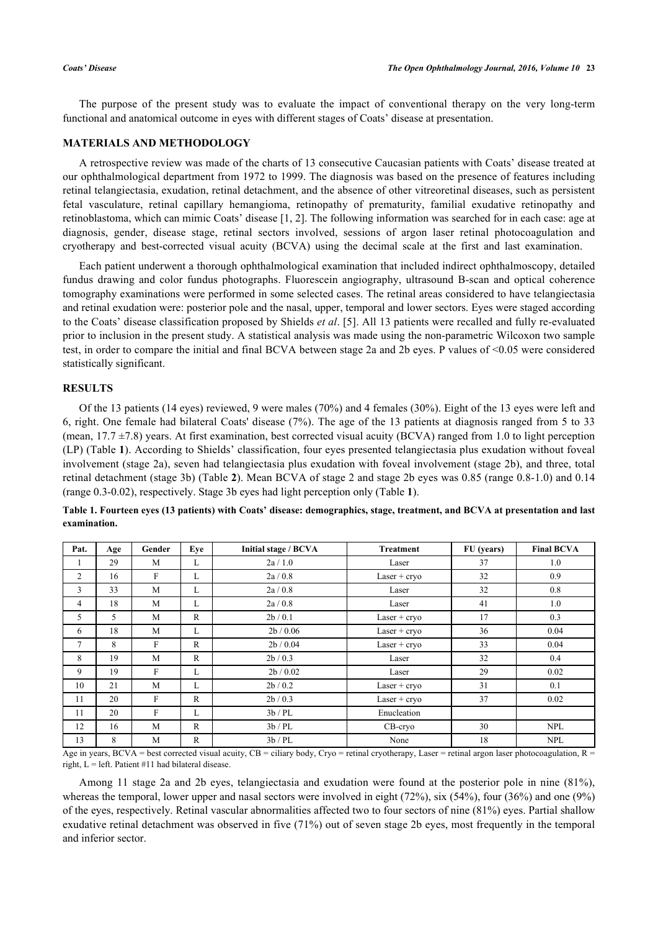The purpose of the present study was to evaluate the impact of conventional therapy on the very long-term functional and anatomical outcome in eyes with different stages of Coats' disease at presentation.

# **MATERIALS AND METHODOLOGY**

A retrospective review was made of the charts of 13 consecutive Caucasian patients with Coats' disease treated at our ophthalmological department from 1972 to 1999. The diagnosis was based on the presence of features including retinal telangiectasia, exudation, retinal detachment, and the absence of other vitreoretinal diseases, such as persistent fetal vasculature, retinal capillary hemangioma, retinopathy of prematurity, familial exudative retinopathy and retinoblastoma, which can mimic Coats' disease [\[1](#page-3-0), [2](#page-3-1)]. The following information was searched for in each case: age at diagnosis, gender, disease stage, retinal sectors involved, sessions of argon laser retinal photocoagulation and cryotherapy and best-corrected visual acuity (BCVA) using the decimal scale at the first and last examination.

Each patient underwent a thorough ophthalmological examination that included indirect ophthalmoscopy, detailed fundus drawing and color fundus photographs. Fluorescein angiography, ultrasound B-scan and optical coherence tomography examinations were performed in some selected cases. The retinal areas considered to have telangiectasia and retinal exudation were: posterior pole and the nasal, upper, temporal and lower sectors. Eyes were staged according to the Coats' disease classification proposed by Shields *et al*. [[5\]](#page-3-4). All 13 patients were recalled and fully re-evaluated prior to inclusion in the present study. A statistical analysis was made using the non-parametric Wilcoxon two sample test, in order to compare the initial and final BCVA between stage 2a and 2b eyes. P values of <0.05 were considered statistically significant.

# **RESULTS**

Of the 13 patients (14 eyes) reviewed, 9 were males (70%) and 4 females (30%). Eight of the 13 eyes were left and 6, right. One female had bilateral Coats' disease (7%). The age of the 13 patients at diagnosis ranged from 5 to 33 (mean,  $17.7 \pm 7.8$ ) years. At first examination, best corrected visual acuity (BCVA) ranged from 1.0 to light perception (LP) (Table **[1](#page-1-0)**). According to Shields' classification, four eyes presented telangiectasia plus exudation without foveal involvement (stage 2a), seven had telangiectasia plus exudation with foveal involvement (stage 2b), and three, total retinal detachment (stage 3b) (Table **[2](#page-2-0)**). Mean BCVA of stage 2 and stage 2b eyes was 0.85 (range 0.8-1.0) and 0.14 (range 0.3-0.02), respectively. Stage 3b eyes had light perception only (Table **[1](#page-1-0)**).

| Pat. | Age | Gender | Eve          | Initial stage / BCVA | Treatment      | FU (years) | <b>Final BCVA</b> |
|------|-----|--------|--------------|----------------------|----------------|------------|-------------------|
|      | 29  | M      | L            | 2a/1.0               | Laser          | 37         | 1.0               |
| 2    | 16  | F      | L            | 2a/0.8               | $Laser + cryo$ | 32         | 0.9               |
| 3    | 33  | M      | L            | 2a/0.8               | Laser          | 32         | 0.8               |
| 4    | 18  | M      | L            | 2a/0.8               | Laser          | 41         | 1.0               |
| 5    | 5   | M      | $\mathsf{R}$ | 2b/0.1               | $Laser + cryo$ | 17         | 0.3               |
| 6    | 18  | M      | L            | 2b / 0.06            | $Laser + cryo$ | 36         | 0.04              |
| 7    | 8   | F      | R            | 2b/0.04              | $Laser + cryo$ | 33         | 0.04              |
| 8    | 19  | M      | $\mathbb{R}$ | 2b/0.3               | Laser          | 32         | 0.4               |
| 9    | 19  | F      | L            | 2b/0.02              | Laser          | 29         | 0.02              |
| 10   | 21  | M      | L            | 2b / 0.2             | $Laser + cryo$ | 31         | 0.1               |
| 11   | 20  | F      | R            | 2b/0.3               | $Laser + cryo$ | 37         | 0.02              |
| 11   | 20  | F      | L            | 3b/PL                | Enucleation    |            |                   |
| 12   | 16  | M      | R            | 3b/PL                | $CB$ -cryo     | 30         | <b>NPL</b>        |
| 13   | 8   | M      | $\mathbb{R}$ | 3b/PL                | None           | 18         | <b>NPL</b>        |

<span id="page-1-0"></span>**Table 1. Fourteen eyes (13 patients) with Coats' disease: demographics, stage, treatment, and BCVA at presentation and last examination.**

Age in years, BCVA = best corrected visual acuity, CB = ciliary body, Cryo = retinal cryotherapy, Laser = retinal argon laser photocoagulation, R = right,  $L = left$ . Patient #11 had bilateral disease.

Among 11 stage 2a and 2b eyes, telangiectasia and exudation were found at the posterior pole in nine (81%), whereas the temporal, lower upper and nasal sectors were involved in eight (72%), six (54%), four (36%) and one (9%) of the eyes, respectively. Retinal vascular abnormalities affected two to four sectors of nine (81%) eyes. Partial shallow exudative retinal detachment was observed in five (71%) out of seven stage 2b eyes, most frequently in the temporal and inferior sector.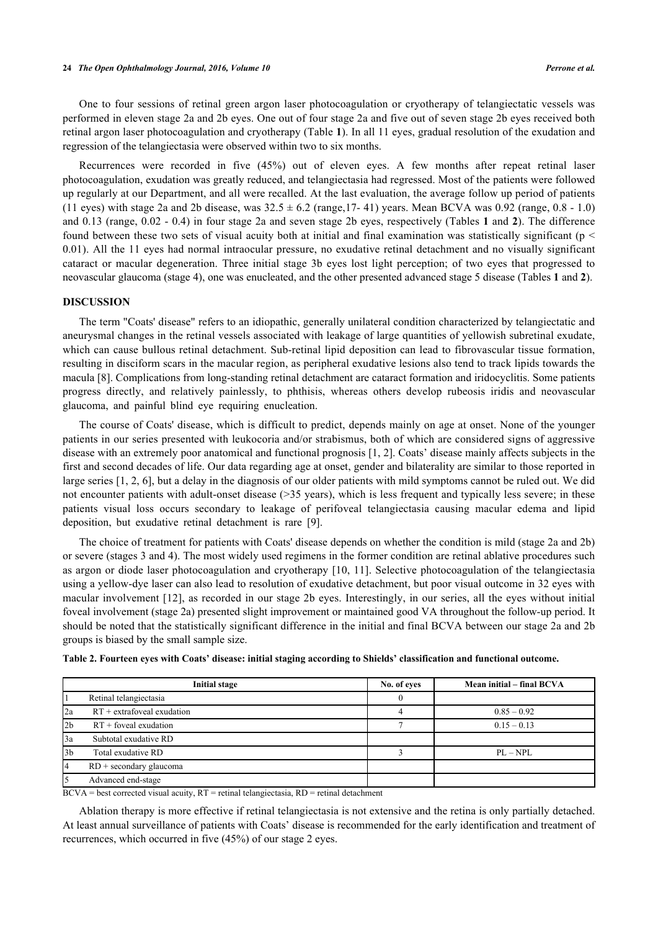One to four sessions of retinal green argon laser photocoagulation or cryotherapy of telangiectatic vessels was performed in eleven stage 2a and 2b eyes. One out of four stage 2a and five out of seven stage 2b eyes received both retinal argon laser photocoagulation and cryotherapy (Table **[1](#page-1-0)**). In all 11 eyes, gradual resolution of the exudation and regression of the telangiectasia were observed within two to six months.

Recurrences were recorded in five (45%) out of eleven eyes. A few months after repeat retinal laser photocoagulation, exudation was greatly reduced, and telangiectasia had regressed. Most of the patients were followed up regularly at our Department, and all were recalled. At the last evaluation, the average follow up period of patients (11 eyes) with stage 2a and 2b disease, was  $32.5 \pm 6.2$  (range, 17- 41) years. Mean BCVA was 0.92 (range, 0.8 - 1.0) and 0.13 (range, 0.02 - 0.4) in four stage 2a and seven stage 2b eyes, respectively (Tables **[1](#page-1-0)** and **[2](#page-2-0)**). The difference found between these two sets of visual acuity both at initial and final examination was statistically significant ( $p <$ 0.01). All the 11 eyes had normal intraocular pressure, no exudative retinal detachment and no visually significant cataract or macular degeneration. Three initial stage 3b eyes lost light perception; of two eyes that progressed to neovascular glaucoma (stage 4), one was enucleated, and the other presented advanced stage 5 disease (Tables **[1](#page-1-0)** and **[2](#page-2-0)**).

## **DISCUSSION**

The term "Coats' disease" refers to an idiopathic, generally unilateral condition characterized by telangiectatic and aneurysmal changes in the retinal vessels associated with leakage of large quantities of yellowish subretinal exudate, which can cause bullous retinal detachment. Sub-retinal lipid deposition can lead to fibrovascular tissue formation, resulting in disciform scars in the macular region, as peripheral exudative lesions also tend to track lipids towards the macula [\[8](#page-4-0)]. Complications from long-standing retinal detachment are cataract formation and iridocyclitis. Some patients progress directly, and relatively painlessly, to phthisis, whereas others develop rubeosis iridis and neovascular glaucoma, and painful blind eye requiring enucleation.

The course of Coats' disease, which is difficult to predict, depends mainly on age at onset. None of the younger patients in our series presented with leukocoria and/or strabismus, both of which are considered signs of aggressive disease with an extremely poor anatomical and functional prognosis [[1,](#page-3-0) [2](#page-3-1)]. Coats' disease mainly affects subjects in the first and second decades of life. Our data regarding age at onset, gender and bilaterality are similar to those reported in large series [[1,](#page-3-0) [2,](#page-3-1) [6\]](#page-3-5), but a delay in the diagnosis of our older patients with mild symptoms cannot be ruled out. We did not encounter patients with adult-onset disease (>35 years), which is less frequent and typically less severe; in these patients visual loss occurs secondary to leakage of perifoveal telangiectasia causing macular edema and lipid deposition, but exudative retinal detachment is rare [\[9](#page-4-1)].

The choice of treatment for patients with Coats' disease depends on whether the condition is mild (stage 2a and 2b) or severe (stages 3 and 4). The most widely used regimens in the former condition are retinal ablative procedures such as argon or diode laser photocoagulation and cryotherapy [[10](#page-4-2), [11](#page-4-3)]. Selective photocoagulation of the telangiectasia using a yellow-dye laser can also lead to resolution of exudative detachment, but poor visual outcome in 32 eyes with macular involvement [[12](#page-4-4)], as recorded in our stage 2b eyes. Interestingly, in our series, all the eyes without initial foveal involvement (stage 2a) presented slight improvement or maintained good VA throughout the follow-up period. It should be noted that the statistically significant difference in the initial and final BCVA between our stage 2a and 2b groups is biased by the small sample size.

|                 | <b>Initial stage</b>         | No. of eyes | Mean initial – final BCVA |
|-----------------|------------------------------|-------------|---------------------------|
|                 | Retinal telangiectasia       |             |                           |
| 2a              | $RT +$ extrafoveal exudation |             | $0.85 - 0.92$             |
| 12 <sub>b</sub> | $RT +$ foveal exudation      |             | $0.15 - 0.13$             |
| 13a             | Subtotal exudative RD        |             |                           |
| l3b             | Total exudative RD           |             | $PL - NPL$                |
| 14              | RD + secondary glaucoma      |             |                           |
|                 | Advanced end-stage           |             |                           |

<span id="page-2-0"></span>**Table 2. Fourteen eyes with Coats' disease: initial staging according to Shields' classification and functional outcome.**

 $BCVA = best$  corrected visual acuity,  $RT =$  retinal telangiectasia,  $RD =$  retinal detachment

Ablation therapy is more effective if retinal telangiectasia is not extensive and the retina is only partially detached. At least annual surveillance of patients with Coats' disease is recommended for the early identification and treatment of recurrences, which occurred in five (45%) of our stage 2 eyes.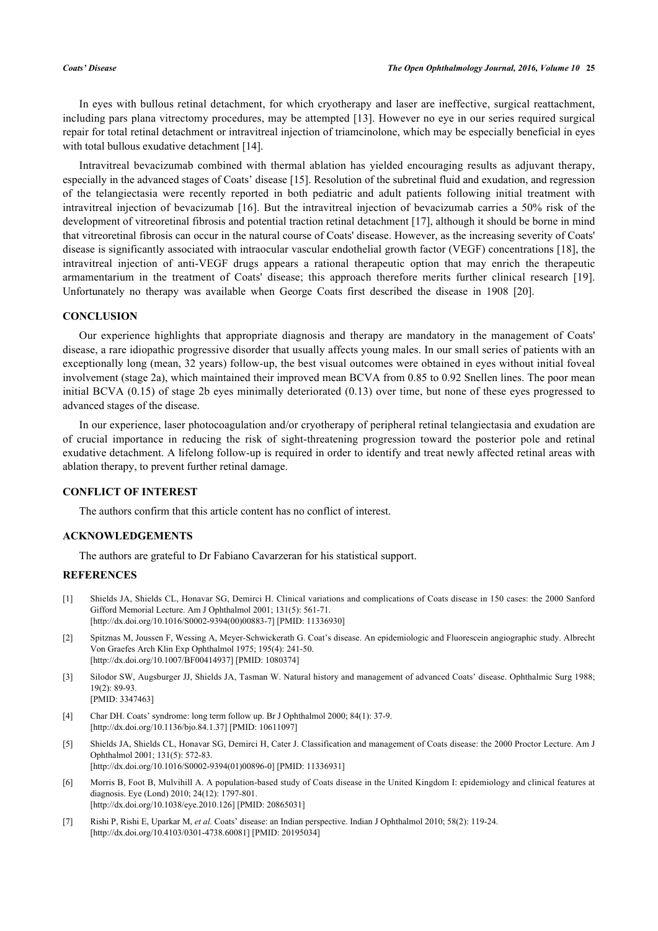In eyes with bullous retinal detachment, for which cryotherapy and laser are ineffective, surgical reattachment, including pars plana vitrectomy procedures, may be attempted [\[13](#page-4-5)]. However no eye in our series required surgical repair for total retinal detachment or intravitreal injection of triamcinolone, which may be especially beneficial in eyes with total bullous exudative detachment [[14\]](#page-4-6).

Intravitreal bevacizumab combined with thermal ablation has yielded encouraging results as adjuvant therapy, especially in the advanced stages of Coats' disease [[15\]](#page-4-7). Resolution of the subretinal fluid and exudation, and regression of the telangiectasia were recently reported in both pediatric and adult patients following initial treatment with intravitreal injection of bevacizumab [[16](#page-4-8)]. But the intravitreal injection of bevacizumab carries a 50% risk of the development of vitreoretinal fibrosis and potential traction retinal detachment [[17\]](#page-4-9), although it should be borne in mind that vitreoretinal fibrosis can occur in the natural course of Coats' disease. However, as the increasing severity of Coats' disease is significantly associated with intraocular vascular endothelial growth factor (VEGF) concentrations [\[18\]](#page-4-10), the intravitreal injection of anti-VEGF drugs appears a rational therapeutic option that may enrich the therapeutic armamentarium in the treatment of Coats' disease; this approach therefore merits further clinical research [\[19\]](#page-4-11). Unfortunately no therapy was available when George Coats first described the disease in 1908[[20\]](#page-4-12).

### **CONCLUSION**

Our experience highlights that appropriate diagnosis and therapy are mandatory in the management of Coats' disease, a rare idiopathic progressive disorder that usually affects young males. In our small series of patients with an exceptionally long (mean, 32 years) follow-up, the best visual outcomes were obtained in eyes without initial foveal involvement (stage 2a), which maintained their improved mean BCVA from 0.85 to 0.92 Snellen lines. The poor mean initial BCVA (0.15) of stage 2b eyes minimally deteriorated (0.13) over time, but none of these eyes progressed to advanced stages of the disease.

In our experience, laser photocoagulation and/or cryotherapy of peripheral retinal telangiectasia and exudation are of crucial importance in reducing the risk of sight-threatening progression toward the posterior pole and retinal exudative detachment. A lifelong follow-up is required in order to identify and treat newly affected retinal areas with ablation therapy, to prevent further retinal damage.

# **CONFLICT OF INTEREST**

The authors confirm that this article content has no conflict of interest.

#### **ACKNOWLEDGEMENTS**

The authors are grateful to Dr Fabiano Cavarzeran for his statistical support.

# **REFERENCES**

- <span id="page-3-0"></span>[1] Shields JA, Shields CL, Honavar SG, Demirci H. Clinical variations and complications of Coats disease in 150 cases: the 2000 Sanford Gifford Memorial Lecture. Am J Ophthalmol 2001; 131(5): 561-71. [\[http://dx.doi.org/10.1016/S0002-9394\(00\)00883-7\]](http://dx.doi.org/10.1016/S0002-9394(00)00883-7) [PMID: [11336930](http://www.ncbi.nlm.nih.gov/pubmed/11336930)]
- <span id="page-3-1"></span>[2] Spitznas M, Joussen F, Wessing A, Meyer-Schwickerath G. Coat's disease. An epidemiologic and Fluorescein angiographic study. Albrecht Von Graefes Arch Klin Exp Ophthalmol 1975; 195(4): 241-50. [\[http://dx.doi.org/10.1007/BF00414937\]](http://dx.doi.org/10.1007/BF00414937) [PMID: [1080374](http://www.ncbi.nlm.nih.gov/pubmed/1080374)]
- <span id="page-3-2"></span>[3] Silodor SW, Augsburger JJ, Shields JA, Tasman W. Natural history and management of advanced Coats' disease. Ophthalmic Surg 1988; 19(2): 89-93. [PMID: [3347463\]](http://www.ncbi.nlm.nih.gov/pubmed/3347463)
- <span id="page-3-3"></span>[4] Char DH. Coats' syndrome: long term follow up. Br J Ophthalmol 2000; 84(1): 37-9. [\[http://dx.doi.org/10.1136/bjo.84.1.37](http://dx.doi.org/10.1136/bjo.84.1.37)] [PMID: [10611097\]](http://www.ncbi.nlm.nih.gov/pubmed/10611097)
- <span id="page-3-4"></span>[5] Shields JA, Shields CL, Honavar SG, Demirci H, Cater J. Classification and management of Coats disease: the 2000 Proctor Lecture. Am J Ophthalmol 2001; 131(5): 572-83. [\[http://dx.doi.org/10.1016/S0002-9394\(01\)00896-0\]](http://dx.doi.org/10.1016/S0002-9394(01)00896-0) [PMID: [11336931](http://www.ncbi.nlm.nih.gov/pubmed/11336931)]
- <span id="page-3-5"></span>[6] Morris B, Foot B, Mulvihill A. A population-based study of Coats disease in the United Kingdom I: epidemiology and clinical features at diagnosis. Eye (Lond) 2010; 24(12): 1797-801. [\[http://dx.doi.org/10.1038/eye.2010.126\]](http://dx.doi.org/10.1038/eye.2010.126) [PMID: [20865031](http://www.ncbi.nlm.nih.gov/pubmed/20865031)]
- <span id="page-3-6"></span>[7] Rishi P, Rishi E, Uparkar M, *et al.* Coats' disease: an Indian perspective. Indian J Ophthalmol 2010; 58(2): 119-24. [\[http://dx.doi.org/10.4103/0301-4738.60081](http://dx.doi.org/10.4103/0301-4738.60081)] [PMID: [20195034](http://www.ncbi.nlm.nih.gov/pubmed/20195034)]